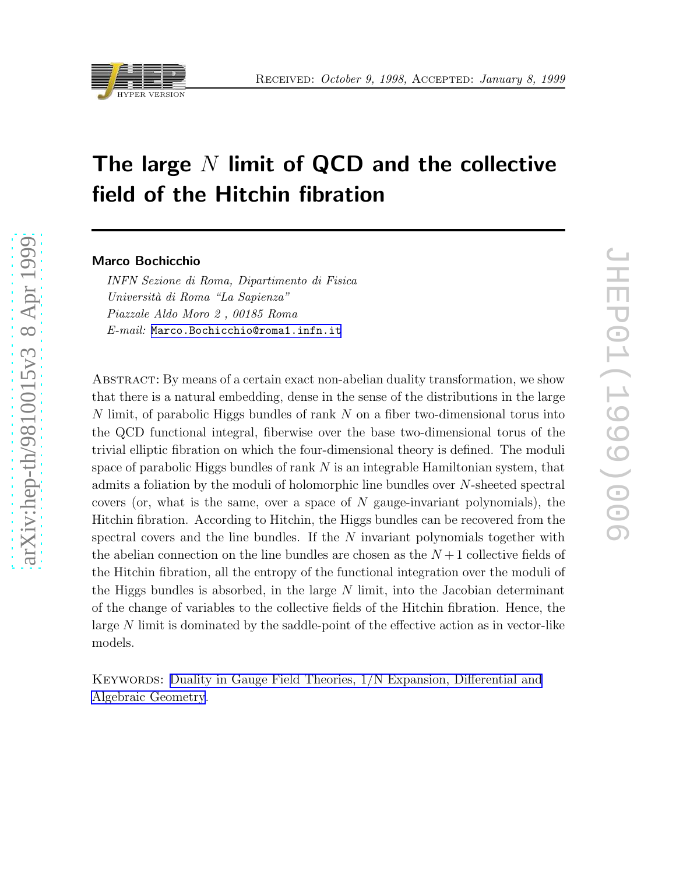

# The large  $N$  limit of QCD and the collective field of the Hitchin fibration

#### Marco Bochicchio

*INFN Sezione di Roma, Dipartimento di Fisica Universit`a di Roma "La Sapienza" Piazzale Aldo Moro 2 , 00185 Roma E-mail:* [Marco.Bochicchio@roma1.infn.it](mailto:Marco.Bochicchio@roma1.infn.it)

Abstract: By means of a certain exact non-abelian duality transformation, we show that there is a natural embedding, dense in the sense of the distributions in the large N limit, of parabolic Higgs bundles of rank N on a fiber two-dimensional torus into the QCD functional integral, fiberwise over the base two-dimensional torus of the trivial elliptic fibration on which the four-dimensional theory is defined. The moduli space of parabolic Higgs bundles of rank  $N$  is an integrable Hamiltonian system, that admits a foliation by the moduli of holomorphic line bundles over N-sheeted spectral covers (or, what is the same, over a space of  $N$  gauge-invariant polynomials), the Hitchin fibration. According to Hitchin, the Higgs bundles can be recovered from the spectral covers and the line bundles. If the  $N$  invariant polynomials together with the abelian connection on the line bundles are chosen as the  $N+1$  collective fields of the Hitchin fibration, all the entropy of the functional integration over the moduli of the Higgs bundles is absorbed, in the large  $N$  limit, into the Jacobian determinant of the change of variables to the collective fields of the Hitchin fibration. Hence, the large  $N$  limit is dominated by the saddle-point of the effective action as in vector-like models.

KEYWORDS: Duality in Gauge Field Theories,  $1/N$  Expansion, Differential and [Algebraic Geometry](http://jhep.sissa.it/stdsearch?keywords=Duality_in_Gauge_Field_Theories+1/N_Expansion+Differential_and_Algebraic_Geometry).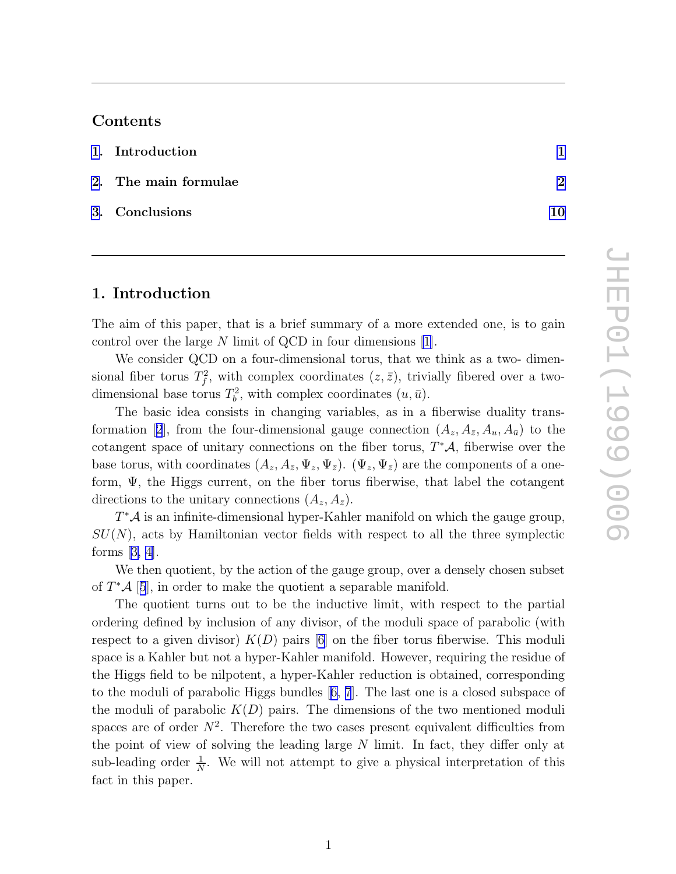## Contents

| 1. Introduction      |    |
|----------------------|----|
| 2. The main formulae | റ  |
| 3. Conclusions       | 10 |

# 1. Introduction

The aim of this paper, that is a brief summary of a more extended one, is to gain control over the large N limit of QCD in four dimensions [\[1\]](#page-11-0).

We consider QCD on a four-dimensional torus, that we think as a two- dimensional fiber torus  $T_f^2$ , with complex coordinates  $(z, \bar{z})$ , trivially fibered over a twodimensional base torus  $T_b^2$ , with complex coordinates  $(u, \bar{u})$ .

The basic idea consists in changing variables, as in a fiberwise duality trans-formation[[2](#page-11-0)], from the four-dimensional gauge connection  $(A_z, A_{\bar{z}}, A_u, A_{\bar{u}})$  to the cotangent space of unitary connections on the fiber torus,  $T^{\ast}\mathcal{A}$ , fiberwise over the base torus, with coordinates  $(A_z, A_{\bar{z}}, \Psi_z, \Psi_{\bar{z}})$ .  $(\Psi_z, \Psi_{\bar{z}})$  are the components of a oneform, Ψ, the Higgs current, on the fiber torus fiberwise, that label the cotangent directions to the unitary connections  $(A_z, A_{\bar{z}})$ .

 $T^{\ast}A$  is an infinite-dimensional hyper-Kahler manifold on which the gauge group,  $SU(N)$ , acts by Hamiltonian vector fields with respect to all the three symplectic forms[[3, 4\]](#page-11-0).

We then quotient, by the action of the gauge group, over a densely chosen subset of  $T^*\mathcal{A}$  [[5](#page-11-0)], in order to make the quotient a separable manifold.

The quotient turns out to be the inductive limit, with respect to the partial ordering defined by inclusion of any divisor, of the moduli space of parabolic (with respect to a given divisor)  $K(D)$  pairs [\[6](#page-11-0)] on the fiber torus fiberwise. This moduli space is a Kahler but not a hyper-Kahler manifold. However, requiring the residue of the Higgs field to be nilpotent, a hyper-Kahler reduction is obtained, corresponding to the moduli of parabolic Higgs bundles[[6, 7](#page-11-0)]. The last one is a closed subspace of the moduli of parabolic  $K(D)$  pairs. The dimensions of the two mentioned moduli spaces are of order  $N^2$ . Therefore the two cases present equivalent difficulties from the point of view of solving the leading large N limit. In fact, they differ only at sub-leading order  $\frac{1}{N}$  $\frac{1}{N}$ . We will not attempt to give a physical interpretation of this fact in this paper.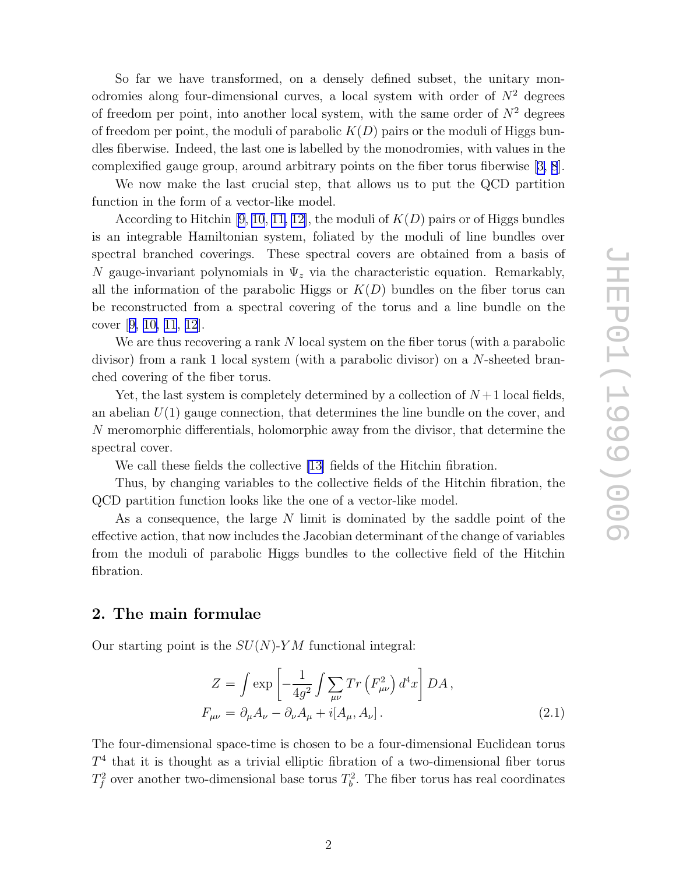<span id="page-2-0"></span>So far we have transformed, on a densely defined subset, the unitary monodromies along four-dimensional curves, a local system with order of  $N^2$  degrees of freedom per point, into another local system, with the same order of  $N^2$  degrees of freedom per point, the moduli of parabolic  $K(D)$  pairs or the moduli of Higgs bundles fiberwise. Indeed, the last one is labelled by the monodromies, with values in the complexified gauge group, around arbitrary points on the fiber torus fiberwise[[3, 8](#page-11-0)].

We now make the last crucial step, that allows us to put the QCD partition function in the form of a vector-like model.

According to Hitchin  $[9, 10, 11, 12]$  $[9, 10, 11, 12]$  $[9, 10, 11, 12]$ , the moduli of  $K(D)$  pairs or of Higgs bundles is an integrable Hamiltonian system, foliated by the moduli of line bundles over spectral branched coverings. These spectral covers are obtained from a basis of N gauge-invariant polynomials in  $\Psi_z$  via the characteristic equation. Remarkably, all the information of the parabolic Higgs or  $K(D)$  bundles on the fiber torus can be reconstructed from a spectral covering of the torus and a line bundle on the cover[[9, 10,](#page-11-0) [11](#page-12-0), [12](#page-12-0)].

We are thus recovering a rank N local system on the fiber torus (with a parabolic divisor) from a rank 1 local system (with a parabolic divisor) on a N-sheeted branched covering of the fiber torus.

Yet, the last system is completely determined by a collection of  $N+1$  local fields, an abelian  $U(1)$  gauge connection, that determines the line bundle on the cover, and N meromorphic differentials, holomorphic away from the divisor, that determine the spectral cover.

We call these fields the collective [\[13\]](#page-12-0) fields of the Hitchin fibration.

Thus, by changing variables to the collective fields of the Hitchin fibration, the QCD partition function looks like the one of a vector-like model.

As a consequence, the large N limit is dominated by the saddle point of the effective action, that now includes the Jacobian determinant of the change of variables from the moduli of parabolic Higgs bundles to the collective field of the Hitchin fibration.

#### 2. The main formulae

Our starting point is the  $SU(N)$ -YM functional integral:

$$
Z = \int \exp\left[-\frac{1}{4g^2} \int \sum_{\mu\nu} Tr\left(F_{\mu\nu}^2\right) d^4x\right] DA,
$$
  

$$
F_{\mu\nu} = \partial_{\mu} A_{\nu} - \partial_{\nu} A_{\mu} + i[A_{\mu}, A_{\nu}].
$$
 (2.1)

The four-dimensional space-time is chosen to be a four-dimensional Euclidean torus  $T<sup>4</sup>$  that it is thought as a trivial elliptic fibration of a two-dimensional fiber torus  $T_f^2$  over another two-dimensional base torus  $T_b^2$ . The fiber torus has real coordinates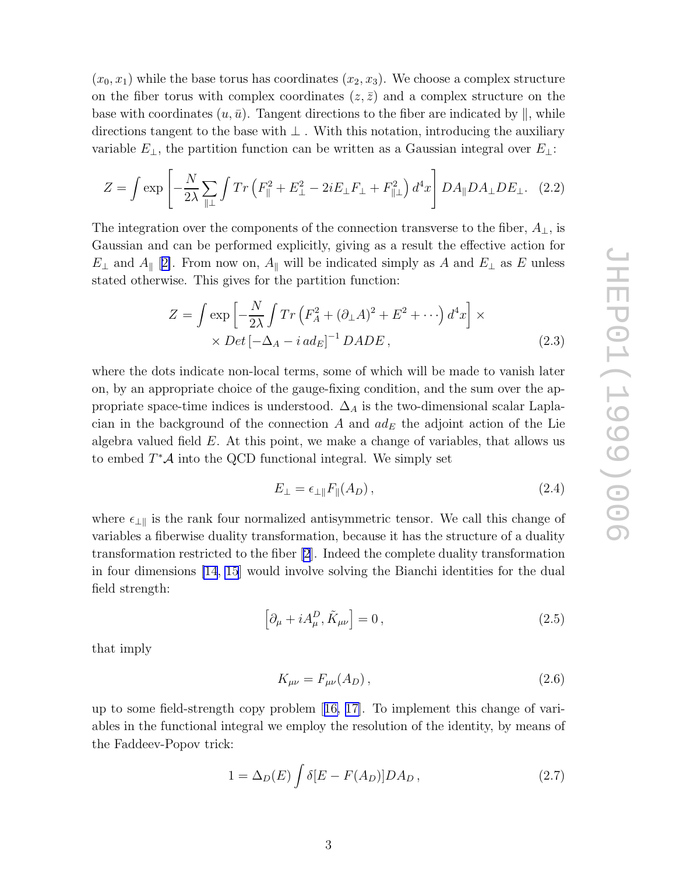$(x_0, x_1)$  while the base torus has coordinates  $(x_2, x_3)$ . We choose a complex structure on the fiber torus with complex coordinates  $(z, \bar{z})$  and a complex structure on the base with coordinates  $(u, \bar{u})$ . Tangent directions to the fiber are indicated by  $||$ , while directions tangent to the base with  $\perp$ . With this notation, introducing the auxiliary variable  $E_{\perp}$ , the partition function can be written as a Gaussian integral over  $E_{\perp}$ :

$$
Z = \int \exp\left[-\frac{N}{2\lambda} \sum_{\parallel \perp} \int Tr\left(F_{\parallel}^2 + E_{\perp}^2 - 2iE_{\perp}F_{\perp} + F_{\parallel \perp}^2\right) d^4x\right] DA_{\parallel}DA_{\perp}DE_{\perp}.
$$
 (2.2)

The integration over the components of the connection transverse to the fiber,  $A_{\perp}$ , is Gaussian and can be performed explicitly, giving as a result the effective action for  $E_{\perp}$  and  $A_{\parallel}$  [[2\]](#page-11-0). From now on,  $A_{\parallel}$  will be indicated simply as A and  $E_{\perp}$  as E unless stated otherwise. This gives for the partition function:

$$
Z = \int \exp\left[-\frac{N}{2\lambda} \int Tr\left(F_A^2 + (\partial_\perp A)^2 + E^2 + \cdots\right) d^4x\right] \times
$$
  
 
$$
\times Det\left[-\Delta_A - i\,ad_E\right]^{-1} DADE\,,\tag{2.3}
$$

where the dots indicate non-local terms, some of which will be made to vanish later on, by an appropriate choice of the gauge-fixing condition, and the sum over the appropriate space-time indices is understood.  $\Delta_A$  is the two-dimensional scalar Laplacian in the background of the connection A and  $ad_E$  the adjoint action of the Lie algebra valued field  $E$ . At this point, we make a change of variables, that allows us to embed  $T^*\mathcal{A}$  into the QCD functional integral. We simply set

$$
E_{\perp} = \epsilon_{\perp \parallel} F_{\parallel}(A_D), \qquad (2.4)
$$

where  $\epsilon_{\perp\parallel}$  is the rank four normalized antisymmetric tensor. We call this change of variables a fiberwise duality transformation, because it has the structure of a duality transformation restricted to the fiber [\[2](#page-11-0)]. Indeed the complete duality transformation in four dimensions [\[14](#page-12-0), [15](#page-12-0)] would involve solving the Bianchi identities for the dual field strength:

$$
\left[\partial_{\mu} + iA_{\mu}^{D}, \tilde{K}_{\mu\nu}\right] = 0, \qquad (2.5)
$$

that imply

$$
K_{\mu\nu} = F_{\mu\nu}(A_D),\tag{2.6}
$$

up to some field-strength copy problem[[16, 17\]](#page-12-0). To implement this change of variables in the functional integral we employ the resolution of the identity, by means of the Faddeev-Popov trick:

$$
1 = \Delta_D(E) \int \delta[E - F(A_D)] DA_D , \qquad (2.7)
$$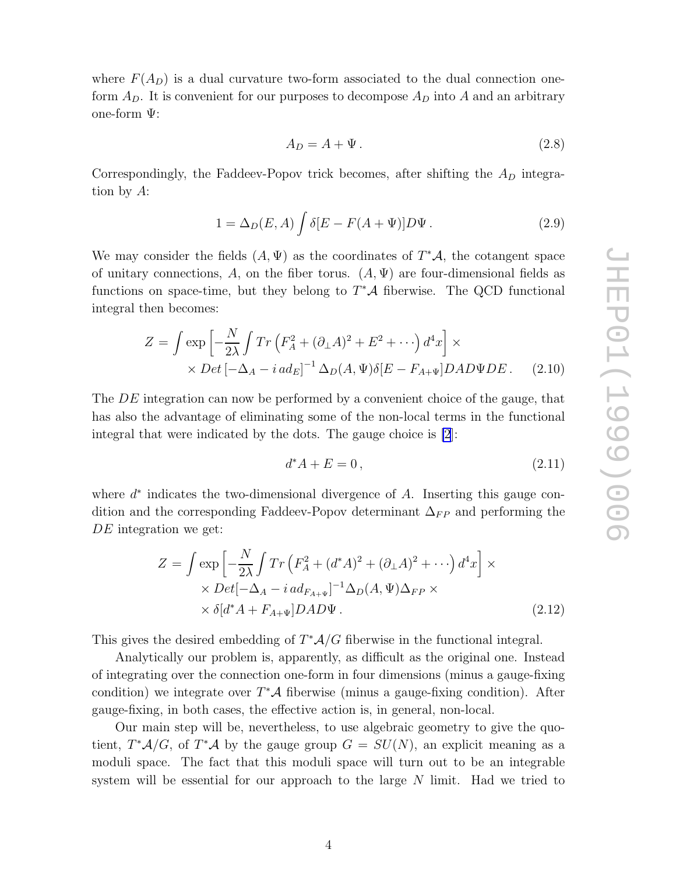where  $F(A_D)$  is a dual curvature two-form associated to the dual connection oneform  $A_D$ . It is convenient for our purposes to decompose  $A_D$  into A and an arbitrary one-form Ψ:

$$
A_D = A + \Psi. \tag{2.8}
$$

Correspondingly, the Faddeev-Popov trick becomes, after shifting the  $A_D$  integration by A:

$$
1 = \Delta_D(E, A) \int \delta[E - F(A + \Psi)] D\Psi.
$$
\n(2.9)

We may consider the fields  $(A, \Psi)$  as the coordinates of  $T^*\mathcal{A}$ , the cotangent space of unitary connections, A, on the fiber torus.  $(A, \Psi)$  are four-dimensional fields as functions on space-time, but they belong to  $T^*{\mathcal A}$  fiberwise. The QCD functional integral then becomes:

$$
Z = \int \exp\left[-\frac{N}{2\lambda} \int Tr\left(F_A^2 + (\partial_\perp A)^2 + E^2 + \cdots\right) d^4x\right] \times
$$
  
 
$$
\times Det\left[-\Delta_A - i \, ad_E\right]^{-1} \Delta_D(A, \Psi) \delta[E - F_{A+\Psi}] DAD\Psi DE. \quad (2.10)
$$

The DE integration can now be performed by a convenient choice of the gauge, that has also the advantage of eliminating some of the non-local terms in the functional integral that were indicated by the dots. The gauge choice is [\[2](#page-11-0)]:

$$
d^*A + E = 0, \t\t(2.11)
$$

where  $d^*$  indicates the two-dimensional divergence of  $A$ . Inserting this gauge condition and the corresponding Faddeev-Popov determinant  $\Delta_{FP}$  and performing the DE integration we get:

$$
Z = \int \exp\left[-\frac{N}{2\lambda} \int Tr\left(F_A^2 + (d^*A)^2 + (\partial_\perp A)^2 + \cdots\right) d^4x\right] \times
$$
  
 
$$
\times Det[-\Delta_A - i \, ad_{F_{A+\Psi}}]^{-1} \Delta_D(A, \Psi) \Delta_{FP} \times
$$
  
 
$$
\times \delta[d^*A + F_{A+\Psi}] DAD\Psi.
$$
 (2.12)

This gives the desired embedding of  $T^*A/G$  fiberwise in the functional integral.

Analytically our problem is, apparently, as difficult as the original one. Instead of integrating over the connection one-form in four dimensions (minus a gauge-fixing condition) we integrate over  $T^*\mathcal{A}$  fiberwise (minus a gauge-fixing condition). After gauge-fixing, in both cases, the effective action is, in general, non-local.

Our main step will be, nevertheless, to use algebraic geometry to give the quotient,  $T^*{\cal A}/G$ , of  $T^*{\cal A}$  by the gauge group  $G = SU(N)$ , an explicit meaning as a moduli space. The fact that this moduli space will turn out to be an integrable system will be essential for our approach to the large N limit. Had we tried to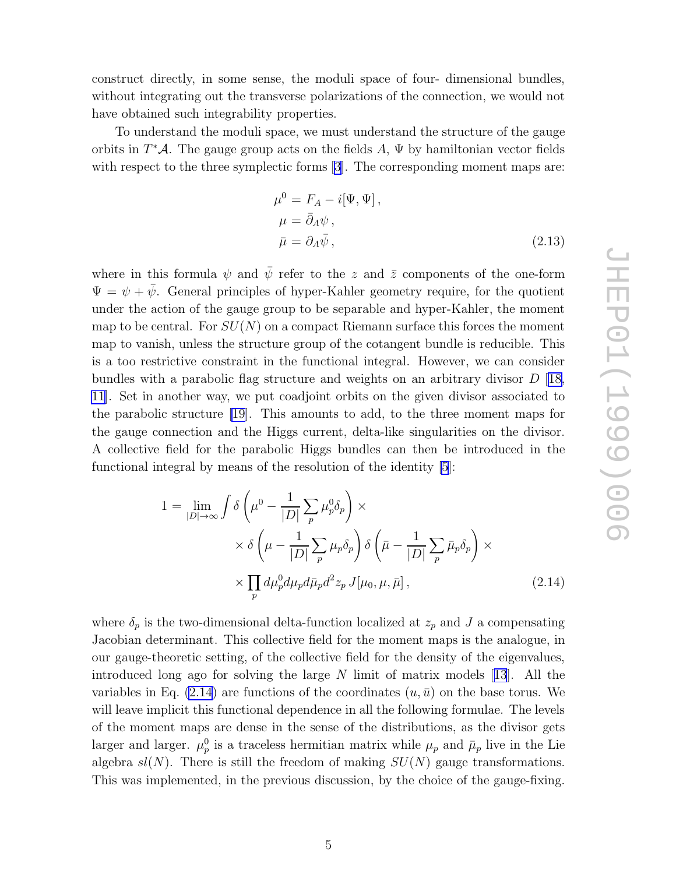construct directly, in some sense, the moduli space of four- dimensional bundles, without integrating out the transverse polarizations of the connection, we would not have obtained such integrability properties.

To understand the moduli space, we must understand the structure of the gauge orbits in  $T^*\mathcal{A}$ . The gauge group acts on the fields  $A, \Psi$  by hamiltonian vector fields with respect to the three symplectic forms [\[3](#page-11-0)]. The corresponding moment maps are:

$$
\mu^{0} = F_{A} - i[\Psi, \Psi],
$$
  
\n
$$
\mu = \bar{\partial}_{A}\psi,
$$
  
\n
$$
\bar{\mu} = \partial_{A}\bar{\psi},
$$
\n(2.13)

where in this formula  $\psi$  and  $\bar{\psi}$  refer to the z and  $\bar{z}$  components of the one-form  $\Psi = \psi + \bar{\psi}$ . General principles of hyper-Kahler geometry require, for the quotient under the action of the gauge group to be separable and hyper-Kahler, the moment map to be central. For  $SU(N)$  on a compact Riemann surface this forces the moment map to vanish, unless the structure group of the cotangent bundle is reducible. This is a too restrictive constraint in the functional integral. However, we can consider bundles with a parabolic flag structure and weights on an arbitrary divisor D [[18,](#page-12-0) [11](#page-12-0)]. Set in another way, we put coadjoint orbits on the given divisor associated to the parabolic structure [\[19\]](#page-12-0). This amounts to add, to the three moment maps for the gauge connection and the Higgs current, delta-like singularities on the divisor. A collective field for the parabolic Higgs bundles can then be introduced in the functional integral by means of the resolution of the identity [\[5](#page-11-0)]:

$$
1 = \lim_{|D| \to \infty} \int \delta \left( \mu^0 - \frac{1}{|D|} \sum_p \mu_p^0 \delta_p \right) \times
$$
  
 
$$
\times \delta \left( \mu - \frac{1}{|D|} \sum_p \mu_p \delta_p \right) \delta \left( \bar{\mu} - \frac{1}{|D|} \sum_p \bar{\mu}_p \delta_p \right) \times
$$
  
 
$$
\times \prod_p d\mu_p^0 d\mu_p d\bar{\mu}_p d^2 z_p J[\mu_0, \mu, \bar{\mu}], \qquad (2.14)
$$

where  $\delta_p$  is the two-dimensional delta-function localized at  $z_p$  and J a compensating Jacobian determinant. This collective field for the moment maps is the analogue, in our gauge-theoretic setting, of the collective field for the density of the eigenvalues, introduced long ago for solving the large N limit of matrix models[[13](#page-12-0)]. All the variables in Eq. (2.14) are functions of the coordinates  $(u, \bar{u})$  on the base torus. We will leave implicit this functional dependence in all the following formulae. The levels of the moment maps are dense in the sense of the distributions, as the divisor gets larger and larger.  $\mu_p^0$  is a traceless hermitian matrix while  $\mu_p$  and  $\bar{\mu}_p$  live in the Lie algebra  $sl(N)$ . There is still the freedom of making  $SU(N)$  gauge transformations. This was implemented, in the previous discussion, by the choice of the gauge-fixing.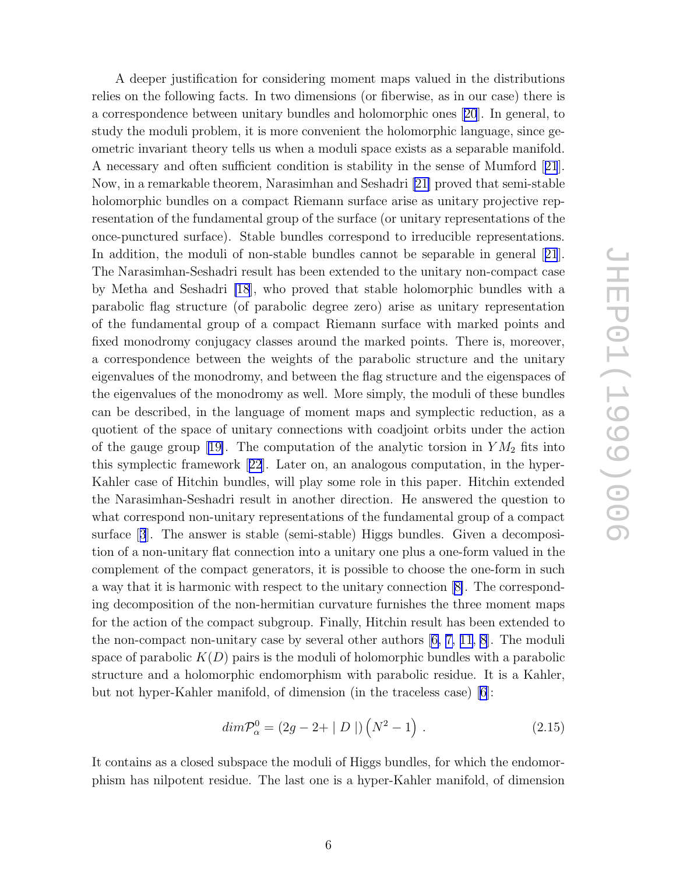<span id="page-6-0"></span>A deeper justification for considering moment maps valued in the distributions relies on the following facts. In two dimensions (or fiberwise, as in our case) there is a correspondence between unitary bundles and holomorphic ones[[20](#page-12-0)]. In general, to study the moduli problem, it is more convenient the holomorphic language, since geometric invariant theory tells us when a moduli space exists as a separable manifold. A necessary and often sufficient condition is stability in the sense of Mumford[[21](#page-12-0)]. Now, in a remarkable theorem, Narasimhan and Seshadri [\[21\]](#page-12-0) proved that semi-stable holomorphic bundles on a compact Riemann surface arise as unitary projective representation of the fundamental group of the surface (or unitary representations of the once-punctured surface). Stable bundles correspond to irreducible representations. In addition, the moduli of non-stable bundles cannot be separable in general[[21](#page-12-0)]. The Narasimhan-Seshadri result has been extended to the unitary non-compact case by Metha and Seshadri [\[18](#page-12-0)], who proved that stable holomorphic bundles with a parabolic flag structure (of parabolic degree zero) arise as unitary representation of the fundamental group of a compact Riemann surface with marked points and fixed monodromy conjugacy classes around the marked points. There is, moreover, a correspondence between the weights of the parabolic structure and the unitary eigenvalues of the monodromy, and between the flag structure and the eigenspaces of the eigenvalues of the monodromy as well. More simply, the moduli of these bundles can be described, in the language of moment maps and symplectic reduction, as a quotient of the space of unitary connections with coadjoint orbits under the action ofthe gauge group [[19\]](#page-12-0). The computation of the analytic torsion in  $YM<sub>2</sub>$  fits into this symplectic framework[[22](#page-12-0)]. Later on, an analogous computation, in the hyper-Kahler case of Hitchin bundles, will play some role in this paper. Hitchin extended the Narasimhan-Seshadri result in another direction. He answered the question to what correspond non-unitary representations of the fundamental group of a compact surface[[3](#page-11-0)]. The answer is stable (semi-stable) Higgs bundles. Given a decomposition of a non-unitary flat connection into a unitary one plus a one-form valued in the complement of the compact generators, it is possible to choose the one-form in such a way that it is harmonic with respect to the unitary connection[[8\]](#page-11-0). The corresponding decomposition of the non-hermitian curvature furnishes the three moment maps for the action of the compact subgroup. Finally, Hitchin result has been extended to the non-compact non-unitary case by several other authors[[6,](#page-11-0) [7,](#page-11-0) [11](#page-12-0), [8\]](#page-11-0). The moduli space of parabolic  $K(D)$  pairs is the moduli of holomorphic bundles with a parabolic structure and a holomorphic endomorphism with parabolic residue. It is a Kahler, but not hyper-Kahler manifold, of dimension (in the traceless case) [\[6\]](#page-11-0):

$$
dim \mathcal{P}_{\alpha}^{0} = (2g - 2 + | D |) (N^{2} - 1) . \qquad (2.15)
$$

It contains as a closed subspace the moduli of Higgs bundles, for which the endomorphism has nilpotent residue. The last one is a hyper-Kahler manifold, of dimension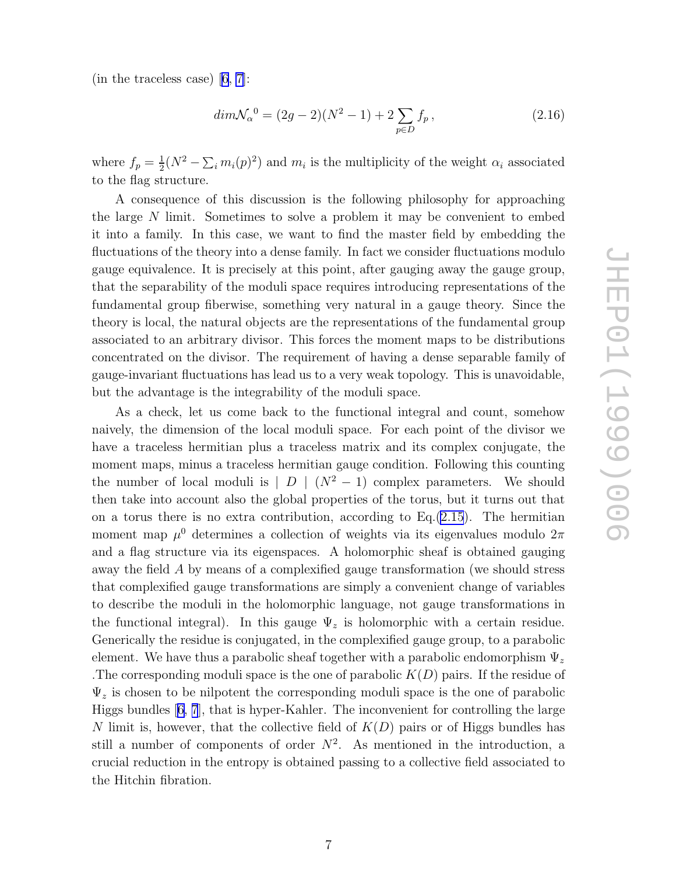(in the traceless case) [\[6](#page-11-0), [7](#page-11-0)]:

$$
dim \mathcal{N}_{\alpha}^{0} = (2g - 2)(N^{2} - 1) + 2 \sum_{p \in D} f_{p}, \qquad (2.16)
$$

where  $f_p = \frac{1}{2}(N^2 - \sum_i m_i(p)^2)$  and  $m_i$  is the multiplicity of the weight  $\alpha_i$  associated to the flag structure.

A consequence of this discussion is the following philosophy for approaching the large N limit. Sometimes to solve a problem it may be convenient to embed it into a family. In this case, we want to find the master field by embedding the fluctuations of the theory into a dense family. In fact we consider fluctuations modulo gauge equivalence. It is precisely at this point, after gauging away the gauge group, that the separability of the moduli space requires introducing representations of the fundamental group fiberwise, something very natural in a gauge theory. Since the theory is local, the natural objects are the representations of the fundamental group associated to an arbitrary divisor. This forces the moment maps to be distributions concentrated on the divisor. The requirement of having a dense separable family of gauge-invariant fluctuations has lead us to a very weak topology. This is unavoidable, but the advantage is the integrability of the moduli space.

As a check, let us come back to the functional integral and count, somehow naively, the dimension of the local moduli space. For each point of the divisor we have a traceless hermitian plus a traceless matrix and its complex conjugate, the moment maps, minus a traceless hermitian gauge condition. Following this counting the number of local moduli is  $|D| (N^2 - 1)$  complex parameters. We should then take into account also the global properties of the torus, but it turns out that on a torus there is no extra contribution, according to  $Eq.(2.15)$  $Eq.(2.15)$  $Eq.(2.15)$ . The hermitian moment map  $\mu^0$  determines a collection of weights via its eigenvalues modulo  $2\pi$ and a flag structure via its eigenspaces. A holomorphic sheaf is obtained gauging away the field A by means of a complexified gauge transformation (we should stress that complexified gauge transformations are simply a convenient change of variables to describe the moduli in the holomorphic language, not gauge transformations in the functional integral). In this gauge  $\Psi_z$  is holomorphic with a certain residue. Generically the residue is conjugated, in the complexified gauge group, to a parabolic element. We have thus a parabolic sheaf together with a parabolic endomorphism  $\Psi_z$ The corresponding moduli space is the one of parabolic  $K(D)$  pairs. If the residue of  $\Psi_z$  is chosen to be nilpotent the corresponding moduli space is the one of parabolic Higgs bundles[[6, 7](#page-11-0)], that is hyper-Kahler. The inconvenient for controlling the large N limit is, however, that the collective field of  $K(D)$  pairs or of Higgs bundles has still a number of components of order  $N^2$ . As mentioned in the introduction, a crucial reduction in the entropy is obtained passing to a collective field associated to the Hitchin fibration.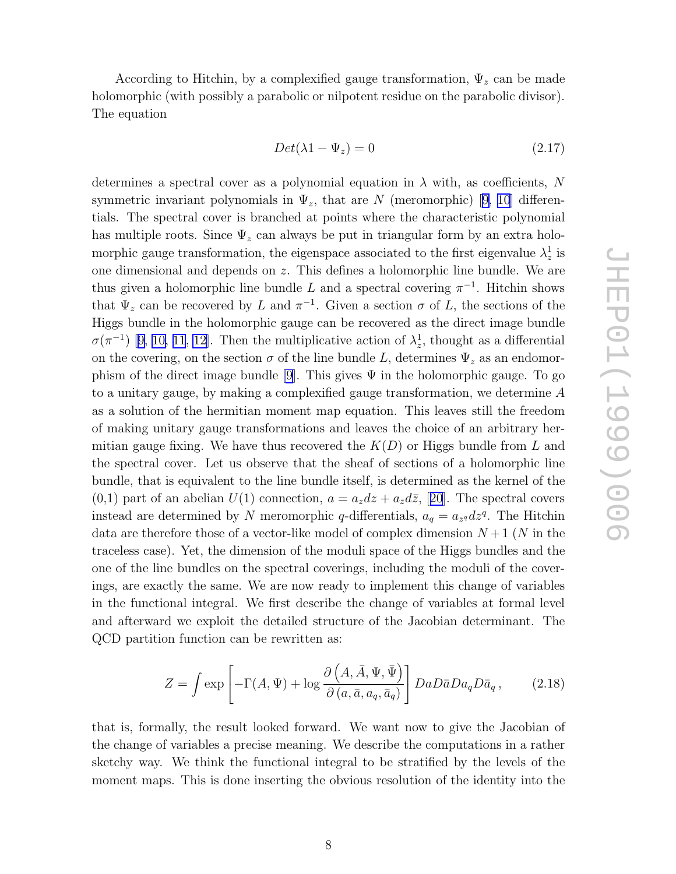According to Hitchin, by a complexified gauge transformation,  $\Psi_z$  can be made holomorphic (with possibly a parabolic or nilpotent residue on the parabolic divisor). The equation

$$
Det(\lambda 1 - \Psi_z) = 0 \tag{2.17}
$$

determines a spectral cover as a polynomial equation in  $\lambda$  with, as coefficients, N symmetric invariant polynomials in  $\Psi_z$ , that are N (meromorphic) [\[9, 10](#page-11-0)] differentials. The spectral cover is branched at points where the characteristic polynomial has multiple roots. Since  $\Psi_z$  can always be put in triangular form by an extra holomorphic gauge transformation, the eigenspace associated to the first eigenvalue  $\lambda_z^1$  is one dimensional and depends on z. This defines a holomorphic line bundle. We are thus given a holomorphic line bundle L and a spectral covering  $\pi^{-1}$ . Hitchin shows that  $\Psi_z$  can be recovered by L and  $\pi^{-1}$ . Given a section  $\sigma$  of L, the sections of the Higgs bundle in the holomorphic gauge can be recovered as the direct image bundle  $\sigma(\pi^{-1})$ [[9, 10,](#page-11-0) [11](#page-12-0), [12\]](#page-12-0). Then the multiplicative action of  $\lambda_z^1$ , thought as a differential on the covering, on the section  $\sigma$  of the line bundle L, determines  $\Psi_z$  as an endomor-phism of the direct image bundle [\[9](#page-11-0)]. This gives  $\Psi$  in the holomorphic gauge. To go to a unitary gauge, by making a complexified gauge transformation, we determine A as a solution of the hermitian moment map equation. This leaves still the freedom of making unitary gauge transformations and leaves the choice of an arbitrary hermitian gauge fixing. We have thus recovered the  $K(D)$  or Higgs bundle from L and the spectral cover. Let us observe that the sheaf of sections of a holomorphic line bundle, that is equivalent to the line bundle itself, is determined as the kernel of the  $(0,1)$ part of an abelian  $U(1)$  connection,  $a = a_z dz + a_{\bar{z}} d\bar{z}$ , [[20](#page-12-0)]. The spectral covers instead are determined by N meromorphic q-differentials,  $a_q = a_{z^q} dz^q$ . The Hitchin data are therefore those of a vector-like model of complex dimension  $N+1$  (N in the traceless case). Yet, the dimension of the moduli space of the Higgs bundles and the one of the line bundles on the spectral coverings, including the moduli of the coverings, are exactly the same. We are now ready to implement this change of variables in the functional integral. We first describe the change of variables at formal level and afterward we exploit the detailed structure of the Jacobian determinant. The QCD partition function can be rewritten as:

$$
Z = \int \exp\left[-\Gamma(A,\Psi) + \log \frac{\partial \left(A, \bar{A}, \Psi, \bar{\Psi}\right)}{\partial \left(a, \bar{a}, a_q, \bar{a}_q\right)}\right] Da D\bar{a} Da_q D\bar{a}_q ,\qquad(2.18)
$$

that is, formally, the result looked forward. We want now to give the Jacobian of the change of variables a precise meaning. We describe the computations in a rather sketchy way. We think the functional integral to be stratified by the levels of the moment maps. This is done inserting the obvious resolution of the identity into the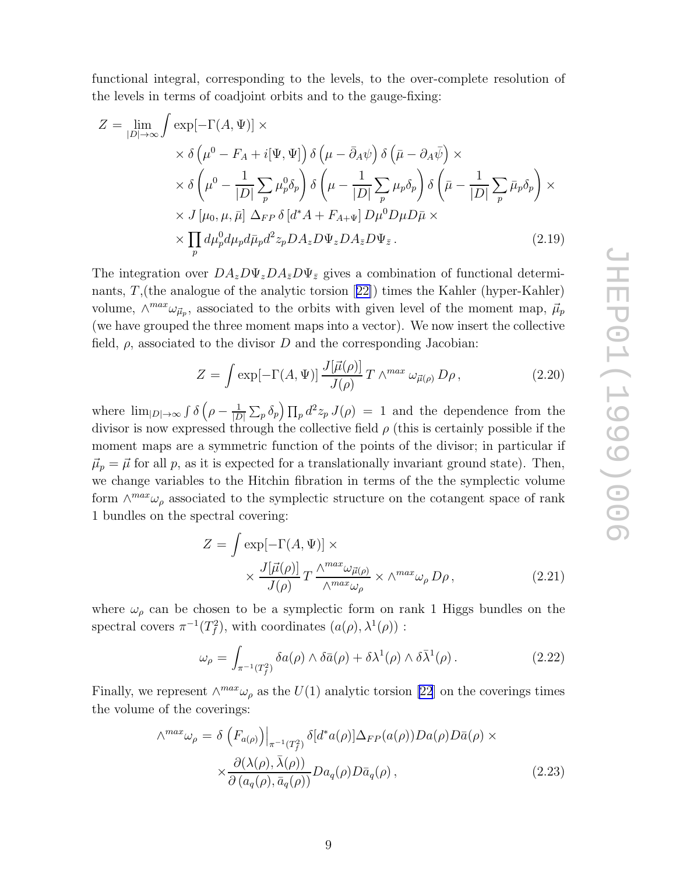<span id="page-9-0"></span>functional integral, corresponding to the levels, to the over-complete resolution of the levels in terms of coadjoint orbits and to the gauge-fixing:

$$
Z = \lim_{|D| \to \infty} \int \exp[-\Gamma(A, \Psi)] \times
$$
  
\n
$$
\times \delta \left(\mu^{0} - F_{A} + i[\Psi, \Psi]\right) \delta \left(\mu - \bar{\partial}_{A}\psi\right) \delta \left(\bar{\mu} - \partial_{A}\bar{\psi}\right) \times
$$
  
\n
$$
\times \delta \left(\mu^{0} - \frac{1}{|D|} \sum_{p} \mu_{p}^{0} \delta_{p}\right) \delta \left(\mu - \frac{1}{|D|} \sum_{p} \mu_{p} \delta_{p}\right) \delta \left(\bar{\mu} - \frac{1}{|D|} \sum_{p} \bar{\mu}_{p} \delta_{p}\right) \times
$$
  
\n
$$
\times J[\mu_{0}, \mu, \bar{\mu}] \Delta_{FP} \delta [d^{*}A + F_{A+\Psi}] D\mu^{0} D\mu D\bar{\mu} \times
$$
  
\n
$$
\times \prod_{p} d\mu_{p}^{0} d\mu_{p} d\bar{\mu}_{p} d^{2} z_{p} D A_{z} D \Psi_{z} D A_{\bar{z}} D \Psi_{\bar{z}}.
$$
\n(2.19)

The integration over  $DA_z D\Psi_z DA_{\bar{z}}D\Psi_{\bar{z}}$  gives a combination of functional determinants, T,(the analogue of the analytic torsion[[22\]](#page-12-0)) times the Kahler (hyper-Kahler) volume,  $\wedge^{max}\omega_{\vec{\mu}_p}$ , associated to the orbits with given level of the moment map,  $\vec{\mu}_p$ (we have grouped the three moment maps into a vector). We now insert the collective field,  $\rho$ , associated to the divisor D and the corresponding Jacobian:

$$
Z = \int \exp[-\Gamma(A,\Psi)] \frac{J[\vec{\mu}(\rho)]}{J(\rho)} T \wedge^{max} \omega_{\vec{\mu}(\rho)} D\rho, \qquad (2.20)
$$

where  $\lim_{|D|\to\infty} \int \delta\left(\rho - \frac{1}{|D|}\sum_p \delta_p\right) \prod_p d^2 z_p J(\rho) = 1$  and the dependence from the divisor is now expressed through the collective field  $\rho$  (this is certainly possible if the moment maps are a symmetric function of the points of the divisor; in particular if  $\vec{\mu}_p = \vec{\mu}$  for all p, as it is expected for a translationally invariant ground state). Then, we change variables to the Hitchin fibration in terms of the the symplectic volume form  $\wedge^{max} \omega_{\rho}$  associated to the symplectic structure on the cotangent space of rank 1 bundles on the spectral covering:

$$
Z = \int \exp[-\Gamma(A, \Psi)] \times
$$
  
 
$$
\times \frac{J[\vec{\mu}(\rho)]}{J(\rho)} T \frac{\wedge^{max} \omega_{\vec{\mu}(\rho)}}{\wedge^{max} \omega_{\rho}} \times \wedge^{max} \omega_{\rho} D\rho,
$$
 (2.21)

where  $\omega_{\rho}$  can be chosen to be a symplectic form on rank 1 Higgs bundles on the spectral covers  $\pi^{-1}(T_f^2)$ , with coordinates  $(a(\rho), \lambda^1(\rho))$ :

$$
\omega_{\rho} = \int_{\pi^{-1}(T_f^2)} \delta a(\rho) \wedge \delta \bar{a}(\rho) + \delta \lambda^1(\rho) \wedge \delta \bar{\lambda}^1(\rho).
$$
 (2.22)

Finally, we represent  $\wedge^{max} \omega_{\rho}$  as the  $U(1)$  analytic torsion [\[22](#page-12-0)] on the coverings times the volume of the coverings:

$$
\wedge^{max} \omega_{\rho} = \delta \left( F_{a(\rho)} \right) \Big|_{\pi^{-1}(T_f^2)} \delta[d^*a(\rho)] \Delta_{FP}(a(\rho)) Da(\rho) D\bar{a}(\rho) \times \times \frac{\partial(\lambda(\rho), \bar{\lambda}(\rho))}{\partial (a_q(\rho), \bar{a}_q(\rho))} Da_q(\rho) D\bar{a}_q(\rho),
$$
\n(2.23)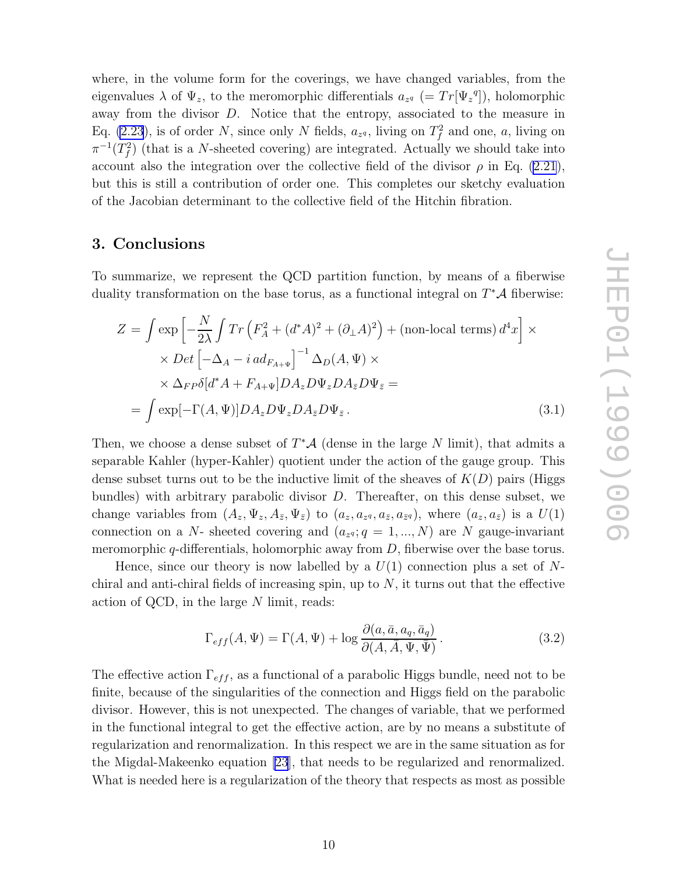<span id="page-10-0"></span>where, in the volume form for the coverings, we have changed variables, from the eigenvalues  $\lambda$  of  $\Psi_z$ , to the meromorphic differentials  $a_{z^q}$  (=  $Tr[\Psi_z^q]$ ), holomorphic away from the divisor D. Notice that the entropy, associated to the measure in Eq. [\(2.23](#page-9-0)), is of order N, since only N fields,  $a_{z^q}$ , living on  $T_f^2$  and one, a, living on  $\pi^{-1}(T_f^2)$  (that is a N-sheeted covering) are integrated. Actually we should take into account also the integration over the collective field of the divisor  $\rho$  in Eq. [\(2.21](#page-9-0)), but this is still a contribution of order one. This completes our sketchy evaluation of the Jacobian determinant to the collective field of the Hitchin fibration.

## 3. Conclusions

To summarize, we represent the QCD partition function, by means of a fiberwise duality transformation on the base torus, as a functional integral on  $T^*\mathcal{A}$  fiberwise:

$$
Z = \int \exp\left[-\frac{N}{2\lambda} \int Tr\left(F_A^2 + (d^*A)^2 + (\partial_\perp A)^2\right) + (\text{non-local terms}) d^4x\right] \times
$$
  
 
$$
\times Det\left[-\Delta_A - i \, ad_{F_{A+\Psi}}\right]^{-1} \Delta_D(A, \Psi) \times
$$
  
 
$$
\times \Delta_{FP}\delta[d^*A + F_{A+\Psi}] DA_z D\Psi_z DA_{\bar{z}}D\Psi_{\bar{z}} =
$$
  
= 
$$
\int \exp[-\Gamma(A, \Psi)] DA_z D\Psi_z DA_{\bar{z}}D\Psi_{\bar{z}}.
$$
 (3.1)

Then, we choose a dense subset of  $T^*\mathcal{A}$  (dense in the large N limit), that admits a separable Kahler (hyper-Kahler) quotient under the action of the gauge group. This dense subset turns out to be the inductive limit of the sheaves of  $K(D)$  pairs (Higgs bundles) with arbitrary parabolic divisor D. Thereafter, on this dense subset, we change variables from  $(A_z, \Psi_z, A_{\bar{z}}, \Psi_{\bar{z}})$  to  $(a_z, a_{z^q}, a_{\bar{z}}, a_{\bar{z}^q})$ , where  $(a_z, a_{\bar{z}})$  is a  $U(1)$ connection on a N- sheeted covering and  $(a_{z}, q = 1, ..., N)$  are N gauge-invariant meromorphic  $q$ -differentials, holomorphic away from  $D$ , fiberwise over the base torus.

Hence, since our theory is now labelled by a  $U(1)$  connection plus a set of Nchiral and anti-chiral fields of increasing spin, up to  $N$ , it turns out that the effective action of QCD, in the large N limit, reads:

$$
\Gamma_{eff}(A,\Psi) = \Gamma(A,\Psi) + \log \frac{\partial(a,\bar{a},a_q,\bar{a}_q)}{\partial(A,\bar{A},\Psi,\bar{\Psi})}.
$$
\n(3.2)

The effective action  $\Gamma_{eff}$ , as a functional of a parabolic Higgs bundle, need not to be finite, because of the singularities of the connection and Higgs field on the parabolic divisor. However, this is not unexpected. The changes of variable, that we performed in the functional integral to get the effective action, are by no means a substitute of regularization and renormalization. In this respect we are in the same situation as for the Migdal-Makeenko equation [\[23](#page-12-0)], that needs to be regularized and renormalized. What is needed here is a regularization of the theory that respects as most as possible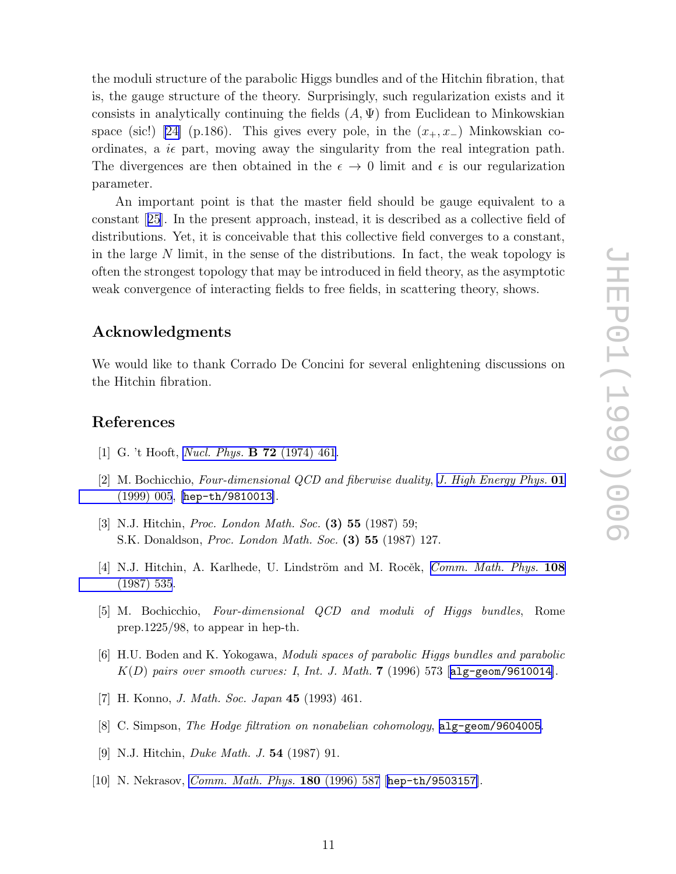<span id="page-11-0"></span>the moduli structure of the parabolic Higgs bundles and of the Hitchin fibration, that is, the gauge structure of the theory. Surprisingly, such regularization exists and it consists in analytically continuing the fields  $(A, \Psi)$  from Euclidean to Minkowskian space (sic!) [\[24\]](#page-12-0) (p.186). This gives every pole, in the  $(x_+, x_-)$  Minkowskian coordinates, a  $i\epsilon$  part, moving away the singularity from the real integration path. The divergences are then obtained in the  $\epsilon \to 0$  limit and  $\epsilon$  is our regularization parameter.

An important point is that the master field should be gauge equivalent to a constant[[25](#page-12-0)]. In the present approach, instead, it is described as a collective field of distributions. Yet, it is conceivable that this collective field converges to a constant, in the large N limit, in the sense of the distributions. In fact, the weak topology is often the strongest topology that may be introduced in field theory, as the asymptotic weak convergence of interacting fields to free fields, in scattering theory, shows.

#### Acknowledgments

We would like to thank Corrado De Concini for several enlightening discussions on the Hitchin fibration.

## References

- [1] G. 't Hooft, *[Nucl. Phys.](http://www-spires.slac.stanford.edu/spires/find/hep/www?j=NUPHA%2CB72%2C461)* B 72 (1974) 461.
- [2] M. Bochicchio, *Four-dimensional QCD and fiberwise duality* , *[J. High Energy Phys.](http://jhep.sissa.it/stdsearch?paper=01%281999%29005)* 01 [\(1999\) 005](http://jhep.sissa.it/stdsearch?paper=01%281999%29005), [[hep-th/9810013](http://xxx.lanl.gov/abs/hep-th/9810013)].
- [3] N.J. Hitchin, *Proc. London Math. Soc.* (3) 55 (1987) 59; S.K. Donaldson, *Proc. London Math. Soc.* (3) 55 (1987) 127.
- [4] N.J. Hitchin, A. Karlhede, U. Lindström and M. Rocěk, *[Comm. Math. Phys.](http://www-spires.slac.stanford.edu/spires/find/hep/www?j=CMPHA%2C108%2C535)* 108 [\(1987\) 535](http://www-spires.slac.stanford.edu/spires/find/hep/www?j=CMPHA%2C108%2C535).
- [5] M. Bochicchio, *Four-dimensional QCD and moduli of Higgs bundles*, Rome prep.1225/98, to appear in hep-th.
- [6] H.U. Boden and K. Yokogawa, *Moduli spaces of parabolic Higgs bundles and parabolic* K(D) *pairs over smooth curves: I*, *Int. J. Math.* 7 (1996) 573 [[alg-geom/9610014](http://xxx.lanl.gov/abs/alg-geom/9610014)].
- [7] H. Konno, *J. Math. Soc. Japan* 45 (1993) 461.
- [8] C. Simpson, *The Hodge filtration on nonabelian cohomology* , [alg-geom/9604005](http://xxx.lanl.gov/abs/alg-geom/9604005) .
- [9] N.J. Hitchin, *Duke Math. J.* 54 (1987) 91.
- [10] N. Nekrasov, *[Comm. Math. Phys.](http://www-spires.slac.stanford.edu/spires/find/hep/www?j=CMPHA%2C180%2C587)* 180 (1996) 587 [[hep-th/9503157](http://xxx.lanl.gov/abs/hep-th/9503157)].